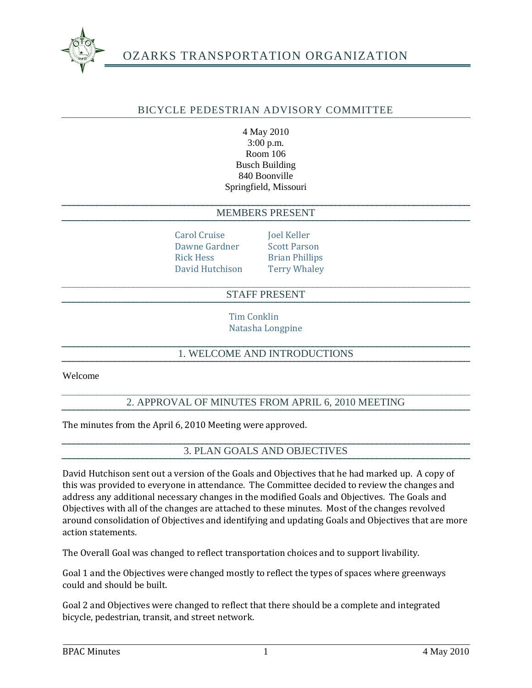

# OZARKS TRANSPORTATION ORGANIZATION

## BICYCLE PEDESTRIAN ADVISORY COMMITTEE

4 May 2010 3:00 p.m. Room 106 Busch Building 840 Boonville Springfield, Missouri

#### MEMBERS PRESENT

Carol Cruise **Joel Keller** Dawne Gardner Scott Parson Rick Hess Brian Phillips David Hutchison Terry Whaley

### STAFF PRESENT

Tim Conklin Natasha Longpine

# 1. WELCOME AND INTRODUCTIONS

Welcome

### 2. APPROVAL OF MINUTES FROM APRIL 6, 2010 MEETING

The minutes from the April 6, 2010 Meeting were approved.

#### 3. PLAN GOALS AND OBJECTIVES

David Hutchison sent out a version of the Goals and Objectives that he had marked up. A copy of this was provided to everyone in attendance. The Committee decided to review the changes and address any additional necessary changes in the modified Goals and Objectives. The Goals and Objectives with all of the changes are attached to these minutes. Most of the changes revolved around consolidation of Objectives and identifying and updating Goals and Objectives that are more action statements.

The Overall Goal was changed to reflect transportation choices and to support livability.

Goal 1 and the Objectives were changed mostly to reflect the types of spaces where greenways could and should be built.

Goal 2 and Objectives were changed to reflect that there should be a complete and integrated bicycle, pedestrian, transit, and street network.